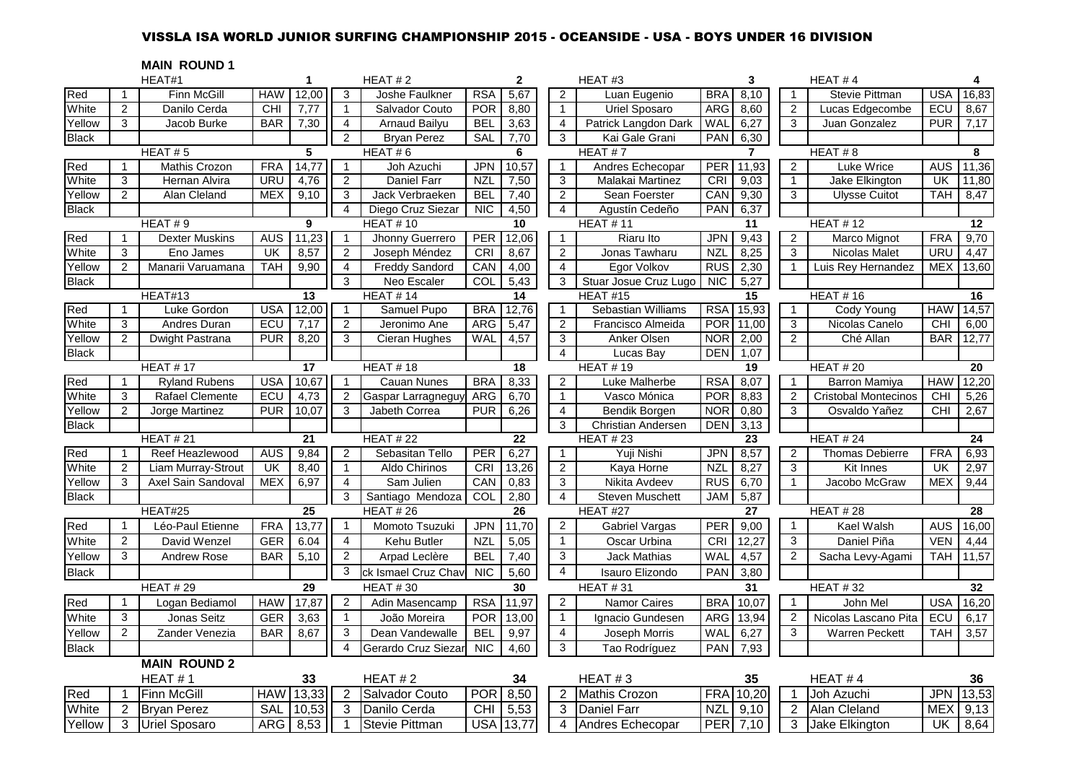# VISSLA ISA WORLD JUNIOR SURFING CHAMPIONSHIP 2015 - OCEANSIDE - USA - BOYS UNDER 16 DIVISION

**MAIN ROUND 1**

|              |                | HEAT#1                |            | $\mathbf{1}$ |                     | HEAT#2                |                 | $\mathbf{2}$ |                | HEAT#3                    | 3                   |                | HEAT#4                      |            | 4     |
|--------------|----------------|-----------------------|------------|--------------|---------------------|-----------------------|-----------------|--------------|----------------|---------------------------|---------------------|----------------|-----------------------------|------------|-------|
| Red          |                | Finn McGill           | <b>HAW</b> | 12,00        | 3                   | Joshe Faulkner        | <b>RSA</b>      | 5,67         | $\overline{2}$ | Luan Eugenio              | <b>BRA</b><br>8,10  | 1              | Stevie Pittman              | <b>USA</b> | 16,83 |
| White        | $\overline{2}$ | Danilo Cerda          | <b>CHI</b> | 7,77         | $\mathbf{1}$        | Salvador Couto        | <b>POR</b>      | 8,80         | $\mathbf{1}$   | <b>Uriel Sposaro</b>      | ARG<br>8,60         | $\overline{2}$ | Lucas Edgecombe             | ECU        | 8,67  |
| Yellow       | 3              | Jacob Burke           | <b>BAR</b> | 7,30         | $\overline{4}$      | <b>Arnaud Bailyu</b>  | <b>BEL</b>      | 3,63         | $\overline{4}$ | Patrick Langdon Dark      | WAL<br>6,27         | 3              | Juan Gonzalez               | <b>PUR</b> | 7,17  |
| <b>Black</b> |                |                       |            |              | $\overline{2}$      | <b>Bryan Perez</b>    | SAL             | 7,70         | 3              | Kai Gale Grani            | 6,30<br><b>PAN</b>  |                |                             |            |       |
|              |                | HEAT#5                |            | 5            |                     | HEAT#6                |                 | 6            |                | HEAT#7                    | $\overline{7}$      |                | HEAT#8                      |            | 8     |
| Red          | $\mathbf{1}$   | Mathis Crozon         | <b>FRA</b> | 14,77        | $\mathbf{1}$        | Joh Azuchi            | <b>JPN</b>      | 10,57        | $\mathbf{1}$   | Andres Echecopar          | PER<br>11,93        | $\overline{2}$ | <b>Luke Wrice</b>           | <b>AUS</b> | 11,36 |
| White        | 3              | Hernan Alvira         | <b>URU</b> | 4,76         | 2                   | <b>Daniel Farr</b>    | <b>NZL</b>      | 7,50         | 3              | Malakai Martinez          | <b>CRI</b><br>9,03  | $\mathbf{1}$   | Jake Elkington              | UK         | 11,80 |
| Yellow       | $\overline{2}$ | Alan Cleland          | <b>MEX</b> | 9,10         | $\overline{\omega}$ | Jack Verbraeken       | <b>BEL</b>      | 7,40         | $\overline{2}$ | Sean Foerster             | CAN<br>9,30         | 3              | <b>Ulysse Cuitot</b>        | <b>TAH</b> | 8,47  |
| <b>Black</b> |                |                       |            |              | $\overline{4}$      | Diego Cruz Siezar     | <b>NIC</b>      | 4,50         | $\overline{4}$ | Agustín Cedeño            | PAN<br>6,37         |                |                             |            |       |
|              |                | HEAT#9                |            | 9            |                     | <b>HEAT #10</b>       |                 | 10           |                | <b>HEAT #11</b>           | 11                  |                | <b>HEAT #12</b>             |            | 12    |
| Red          | $\mathbf{1}$   | <b>Dexter Muskins</b> | <b>AUS</b> | 11,23        | $\overline{1}$      | Jhonny Guerrero       | PER             | 12,06        | $\mathbf{1}$   | Riaru Ito                 | <b>JPN</b><br>9,43  | $\overline{a}$ | Marco Mignot                | <b>FRA</b> | 9,70  |
| White        | 3              | Eno James             | <b>UK</b>  | 8,57         | 2                   | Joseph Méndez         | CRI             | 8,67         | $\overline{2}$ | Jonas Tawharu             | <b>NZL</b><br>8,25  | 3              | Nicolas Malet               | URU        | 4,47  |
| Yellow       | 2              | Manarii Varuamana     | <b>TAH</b> | 9,90         | $\overline{4}$      | <b>Freddy Sandord</b> | CAN             | 4,00         | $\overline{4}$ | Egor Volkov               | <b>RUS</b><br>2,30  |                | Luis Rey Hernandez          | <b>MEX</b> | 13,60 |
| <b>Black</b> |                |                       |            |              | 3                   | Neo Escaler           | COL             | 5,43         | 3              | Stuar Josue Cruz Lugo     | <b>NIC</b><br>5,27  |                |                             |            |       |
|              |                | HEAT#13               |            | 13           |                     | <b>HEAT #14</b>       |                 | 14           |                | <b>HEAT #15</b>           | 15                  |                | <b>HEAT #16</b>             |            | 16    |
| Red          | $\mathbf{1}$   | Luke Gordon           | <b>USA</b> | 12,00        | $\overline{1}$      | Samuel Pupo           | <b>BRA</b>      | 12,76        | $\mathbf{1}$   | <b>Sebastian Williams</b> | <b>RSA</b><br>15,93 | $\mathbf{1}$   | Cody Young                  | <b>HAW</b> | 14,57 |
| White        | 3              | Andres Duran          | ECU        | 7,17         | 2                   | Jeronimo Ane          | <b>ARG</b>      | 5,47         | 2              | Francisco Almeida         | POR<br>11,00        | 3              | Nicolas Canelo              | CHI        | 6,00  |
| Yellow       | $\overline{2}$ | Dwight Pastrana       | <b>PUR</b> | 8,20         | 3                   | Cieran Hughes         | <b>WAL</b>      | 4,57         | 3              | Anker Olsen               | <b>NOR</b><br>2,00  | 2              | Ché Allan                   | <b>BAR</b> | 12,77 |
| <b>Black</b> |                |                       |            |              |                     |                       |                 |              | $\overline{4}$ | Lucas Bay                 | <b>DEN</b><br>1,07  |                |                             |            |       |
|              |                | <b>HEAT #17</b>       |            | 17           |                     | <b>HEAT #18</b>       |                 | 18           |                | <b>HEAT #19</b>           | 19                  |                | HEAT #20                    |            | 20    |
| Red          | $\mathbf{1}$   | <b>Ryland Rubens</b>  | <b>USA</b> | 10,67        | $\mathbf{1}$        | <b>Cauan Nunes</b>    | <b>BRA</b>      | 8,33         | $\overline{2}$ | <b>Luke Malherbe</b>      | <b>RSA</b><br>8,07  | $\mathbf{1}$   | <b>Barron Mamiya</b>        | <b>HAW</b> | 12,20 |
| White        | 3              | Rafael Clemente       | ECU        | 4,73         | 2                   | Gaspar Larragneguy    | ARG             | 6,70         | $\mathbf{1}$   | Vasco Mónica              | <b>POR</b><br>8,83  | $\overline{2}$ | <b>Cristobal Montecinos</b> | <b>CHI</b> | 5,26  |
| Yellow       | $\overline{2}$ | Jorge Martinez        | <b>PUR</b> | 10,07        | 3                   | Jabeth Correa         | <b>PUR</b>      | 6,26         | $\overline{4}$ | Bendik Borgen             | 0,80<br><b>NOR</b>  | 3              | Osvaldo Yañez               | <b>CHI</b> | 2,67  |
| <b>Black</b> |                |                       |            |              |                     |                       |                 |              | 3              | <b>Christian Andersen</b> | <b>DEN</b><br>3,13  |                |                             |            |       |
|              |                | <b>HEAT #21</b>       |            | 21           |                     | <b>HEAT #22</b>       |                 | 22           |                | <b>HEAT #23</b>           | 23                  |                | <b>HEAT #24</b>             |            | 24    |
| Red          |                | Reef Heazlewood       | <b>AUS</b> | 9,84         | $\overline{2}$      | Sebasitan Tello       | <b>PER</b>      | 6,27         | $\mathbf{1}$   | Yuji Nishi                | JPN  <br>8,57       | 2              | <b>Thomas Debierre</b>      | <b>FRA</b> | 6,93  |
| White        | 2              | Liam Murray-Strout    | <b>UK</b>  | 8,40         | $\mathbf{1}$        | Aldo Chirinos         | <b>CRI</b>      | 13,26        | $\overline{c}$ | Kaya Horne                | <b>NZL</b><br>8,27  | 3              | Kit Innes                   | UK         | 2,97  |
| Yellow       | 3              | Axel Sain Sandoval    | <b>MEX</b> | 6,97         | $\overline{4}$      | Sam Julien            | CAN             | 0,83         | 3              | Nikita Avdeev             | 6,70<br><b>RUS</b>  | $\mathbf{1}$   | Jacobo McGraw               | <b>MEX</b> | 9,44  |
| <b>Black</b> |                |                       |            |              | 3                   | Santiago Mendoza      | COL             | 2,80         | $\overline{4}$ | <b>Steven Muschett</b>    | 5,87<br><b>JAM</b>  |                |                             |            |       |
|              |                | HEAT#25               |            | 25           |                     | <b>HEAT #26</b>       |                 | 26           |                | <b>HEAT #27</b>           | 27                  |                | <b>HEAT #28</b>             |            | 28    |
| Red          | $\mathbf 1$    | Léo-Paul Etienne      | <b>FRA</b> | 13,77        | $\mathbf 1$         | Momoto Tsuzuki        | <b>JPN</b>      | 11,70        | $\overline{2}$ | Gabriel Vargas            | <b>PER</b><br>9,00  | $\mathbf{1}$   | Kael Walsh                  | <b>AUS</b> | 16,00 |
| White        | $\overline{2}$ | David Wenzel          | <b>GER</b> | 6.04         | $\overline{4}$      | Kehu Butler           | <b>NZL</b>      | 5,05         | $\mathbf{1}$   | Oscar Urbina              | CRI<br>12,27        | 3              | Daniel Piña                 | <b>VEN</b> | 4,44  |
| Yellow       | 3              | Andrew Rose           | <b>BAR</b> | 5,10         | $\overline{2}$      | Arpad Leclère         | <b>BEL</b>      | 7,40         | 3              | Jack Mathias              | WAL<br>4,57         | 2              | Sacha Levy-Agami            | <b>TAH</b> | 11,57 |
| <b>Black</b> |                |                       |            |              | 3                   | ck Ismael Cruz Chav   | <b>NIC</b>      | 5,60         | $\overline{4}$ | Isauro Elizondo           | PAN<br>3,80         |                |                             |            |       |
|              |                | <b>HEAT #29</b>       |            | 29           |                     | <b>HEAT #30</b>       |                 | 30           |                | <b>HEAT #31</b>           | 31                  |                | <b>HEAT #32</b>             |            | 32    |
| Red          | $\mathbf{1}$   | Logan Bediamol        | <b>HAW</b> | 17,87        | 2                   | Adin Masencamp        | <b>RSA</b>      | 11,97        | $\overline{a}$ | Namor Caires              | 10,07<br><b>BRA</b> | $\mathbf{1}$   | John Mel                    | <b>USA</b> | 16,20 |
| White        | 3              | Jonas Seitz           | <b>GER</b> | 3,63         | $\overline{1}$      | João Moreira          | <b>POR</b>      | 13,00        | $\mathbf{1}$   | Ignacio Gundesen          | ARG<br>13,94        | $\overline{2}$ | Nicolas Lascano Pita        | ECU        | 6,17  |
| Yellow       | $\overline{2}$ | Zander Venezia        | <b>BAR</b> | 8,67         | 3                   | Dean Vandewalle       | <b>BEL</b>      | 9,97         | $\overline{4}$ | Joseph Morris             | WAL<br>6,27         | 3              | <b>Warren Peckett</b>       | <b>TAH</b> | 3,57  |
| <b>Black</b> |                |                       |            |              | 4                   | Gerardo Cruz Siezar   | <b>NIC</b>      | 4,60         | 3              | Tao Rodríguez             | <b>PAN</b><br>7,93  |                |                             |            |       |
|              |                | <b>MAIN ROUND 2</b>   |            |              |                     |                       |                 |              |                |                           |                     |                |                             |            |       |
|              |                |                       |            |              |                     | HEAT#2                |                 |              |                | HEAT#3                    | 35                  |                | HEAT#4                      |            |       |
|              |                | HEAT#1                |            | 33           |                     |                       |                 | 34           |                |                           |                     | -1             |                             |            | 36    |
| Red          |                | <b>Finn McGill</b>    | <b>HAW</b> | 13,33        | $\overline{2}$      | Salvador Couto        | <b>POR</b>      | 8,50         |                | 2 Mathis Crozon           | FRA 10,20           |                | Joh Azuchi                  | <b>JPN</b> | 13,53 |
| White        | $\overline{2}$ | <b>Bryan Perez</b>    | <b>SAL</b> | 10,53        | 3                   | Danilo Cerda          | $\overline{CH}$ | 5,53         | 3              | <b>Daniel Farr</b>        | <b>NZL</b><br>9,10  | $\overline{2}$ | <b>Alan Cleland</b>         | <b>MEX</b> | 9,13  |
| Yellow       | 3              | <b>Uriel Sposaro</b>  | <b>ARG</b> | 8,53         |                     | <b>Stevie Pittman</b> | <b>USA</b>      | 13,77        | 4              | Andres Echecopar          | <b>PER</b><br>7,10  | 3              | Jake Elkington              | UK         | 8,64  |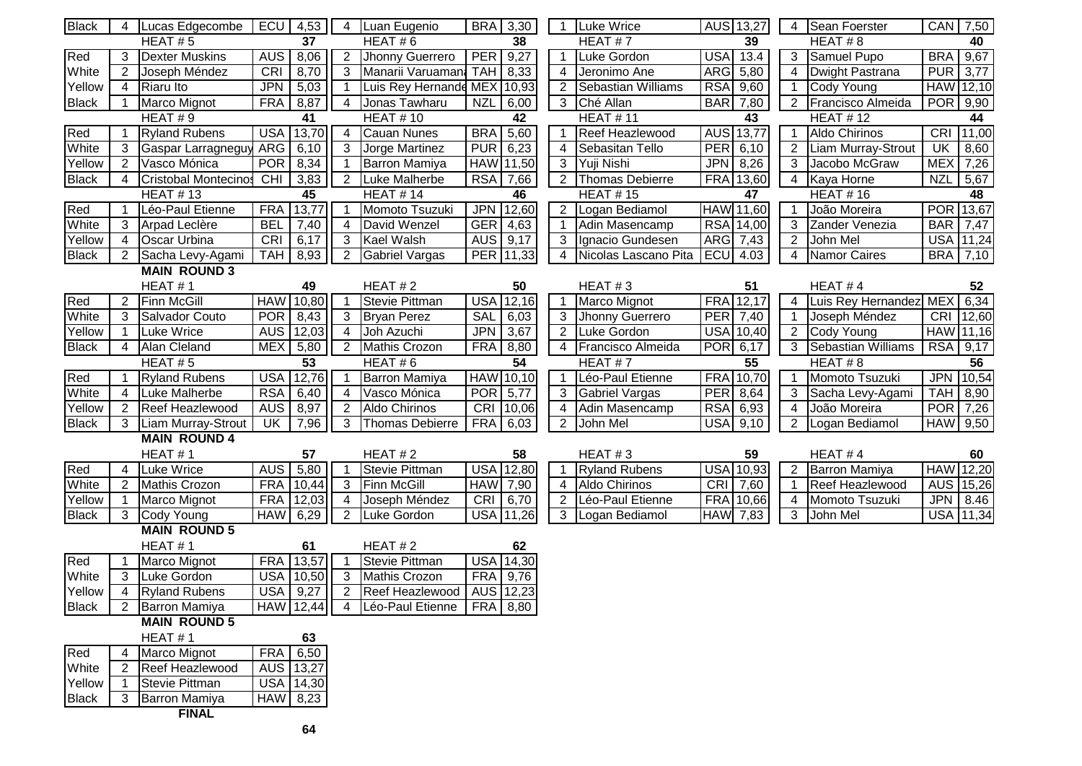| <b>Black</b> | 4              | Lucas Edgecombe             | ECU              | 4,53             | 4              | Luan Eugenio                  | <b>BRA</b> | 3,30             |                     | <b>Luke Wrice</b>     | AUS 13,27                | 4              | Sean Foerster          |            | CAN 7,50         |
|--------------|----------------|-----------------------------|------------------|------------------|----------------|-------------------------------|------------|------------------|---------------------|-----------------------|--------------------------|----------------|------------------------|------------|------------------|
|              |                | HEAT#5                      |                  | $\overline{37}$  |                | HEAT#6                        |            | 38               |                     | HEAT#7                | 39                       |                | HEAT#8                 |            | 40               |
| Red          | 3              | <b>Dexter Muskins</b>       | <b>AUS</b>       | 8,06             | $\overline{2}$ | Jhonny Guerrero               | <b>PER</b> | 9,27             | $\mathbf{1}$        | Luke Gordon           | <b>USA</b><br>13.4       | 3              | Samuel Pupo            | <b>BRA</b> | 9,67             |
| White        | $\overline{2}$ | Joseph Méndez               | CRI              | 8,70             | 3              | Manarii Varuamana             | <b>TAH</b> | 8,33             | $\overline{4}$      | Jeronimo Ane          | ARG 5,80                 | 4              | <b>Dwight Pastrana</b> | <b>PUR</b> | 3,77             |
| Yellow       | 4              | <b>Riaru Ito</b>            | <b>JPN</b>       | 5,03             | $\mathbf{1}$   | Luis Rey Hernande MEX 10,93   |            |                  | $2^{\circ}$         | Sebastian Williams    | <b>RSA</b> 9,60          | $\mathbf{1}$   | <b>Cody Young</b>      |            | HAW 12,10        |
| <b>Black</b> |                | Marco Mignot                | <b>FRA</b>       | 8,87             | 4              | Jonas Tawharu                 | <b>NZL</b> | 6,00             |                     | 3 Ché Allan           | <b>BAR</b><br>7,80       | $\overline{2}$ | Francisco Almeida      |            | POR 9,90         |
|              |                | HEAT#9                      |                  | 41               |                | <b>HEAT #10</b>               |            | 42               |                     | <b>HEAT #11</b>       | 43                       |                | HEAT #12               |            | 44               |
| Red          |                | <b>Ryland Rubens</b>        |                  | <b>USA 13,70</b> | 4              | <b>Cauan Nunes</b>            | <b>BRA</b> | 5,60             | $\overline{1}$      | Reef Heazlewood       | AUS 13,77                | $\mathbf 1$    | Aldo Chirinos          |            | CRI 11,00        |
| White        | 3              | Gaspar Larragneguy          | <b>ARG</b>       | 6,10             | 3 <sup>1</sup> | Jorge Martinez                | <b>PUR</b> | 6,23             | $\overline{4}$      | Sebasitan Tello       | $\overline{PER}$ 6,10    | $\overline{2}$ | Liam Murray-Strout     | UK         | 8,60             |
| Yellow       | $\overline{2}$ | Vasco Mónica                | <b>POR</b>       | 8,34             | $\mathbf{1}$   | <b>Barron Mamiya</b>          |            | HAW 11,50        |                     | 3 Yuji Nishi          | JPN 8,26                 | 3              | Jacobo McGraw          |            | MEX 7,26         |
| <b>Black</b> | 4              | <b>Cristobal Montecinos</b> | CHI              | 3,83             |                | 2 Luke Malherbe               |            | <b>RSA</b> 7,66  |                     | 2 Thomas Debierre     | FRA 13,60                |                | 4 Kaya Horne           | <b>NZL</b> | 5,67             |
|              |                | <b>HEAT #13</b>             |                  | 45               |                | <b>HEAT #14</b>               |            | 46               |                     | <b>HEAT #15</b>       | $\overline{47}$          |                | <b>HEAT #16</b>        |            | 48               |
| Red          |                | Léo-Paul Etienne            | <b>FRA</b>       | 13,77            |                | Momoto Tsuzuki                |            | JPN 12,60        |                     | 2 Logan Bediamol      | HAW 11,60                |                | João Moreira           |            | POR 13,67        |
| White        | 3              | Arpad Leclère               | <b>BEL</b>       | 7,40             | 4              | David Wenzel                  | <b>GER</b> | 4,63             | $\mathbf{1}$        | Adin Masencamp        | <b>RSA</b> 14,00         | 3              | Zander Venezia         |            | <b>BAR</b> 7,47  |
| Yellow       | $\overline{4}$ | <b>Oscar Urbina</b>         | CRI              | 6,17             | $\mathbf{3}$   | Kael Walsh                    |            | AUS 9,17         | 3 <sup>1</sup>      | Ignacio Gundesen      | ARG 7,43                 | $\overline{2}$ | John Mel               |            | USA 11,24        |
| <b>Black</b> | $\overline{2}$ | Sacha Levy-Agami            | <b>TAH</b>       | 8,93             | $2^{\circ}$    | <b>Gabriel Vargas</b>         |            | PER 11,33        | 4                   | Nicolas Lascano Pita  | ECU<br>4.03              | $\overline{4}$ | Namor Caires           |            | BRA 7,10         |
|              |                | <b>MAIN ROUND 3</b>         |                  |                  |                |                               |            |                  |                     |                       |                          |                |                        |            |                  |
|              |                | HEAT#1                      |                  | 49               |                | HEAT#2                        |            | 50               |                     | HEAT#3                | 51                       |                | HEAT#4                 |            | 52               |
| Red          | $\overline{2}$ | <b>Finn McGill</b>          |                  | <b>HAW</b> 10,80 |                | Stevie Pittman                | <b>USA</b> | 12,16            | $\mathbf{1}$        | Marco Mignot          | <b>FRA</b><br>12,17      | $\overline{4}$ | Luis Rey Hernandez     | <b>MEX</b> | 6,34             |
| White        | 3              | Salvador Couto              | <b>POR</b>       | 8,43             | 3              | <b>Bryan Perez</b>            | <b>SAL</b> | 6,03             | $\overline{\omega}$ | Jhonny Guerrero       | <b>PER</b><br>7,40       | $\overline{1}$ | Joseph Méndez          | <b>CRI</b> | 12,60            |
| Yellow       | $\mathbf{1}$   | Luke Wrice                  |                  | AUS 12,03        | $\overline{4}$ | Joh Azuchi                    | <b>JPN</b> | 3,67             |                     | 2 Luke Gordon         | <b>USA</b> 10,40         | $\overline{2}$ | Cody Young             |            | HAW 11,16        |
| <b>Black</b> | $\overline{4}$ | Alan Cleland                | <b>MEX</b>       | 5,80             |                | 2 Mathis Crozon               | <b>FRA</b> | 8,80             |                     | 4 Francisco Almeida   | $POR$ 6,17               | $\mathbf{3}$   | Sebastian Williams     | <b>RSA</b> | 9,17             |
|              |                | HEAT#5                      |                  | $\overline{53}$  |                | HEAT#6                        |            | $\overline{54}$  |                     | HEAT#7                | 55                       |                | HEAT#8                 |            | $\overline{56}$  |
| Red          |                | <b>Ryland Rubens</b>        | <b>USA</b>       | 12,76            |                | Barron Mamiya                 |            | HAW 10,10        | $\mathbf{1}$        | Léo-Paul Etienne      | <b>FRA</b><br>10,70      |                | Momoto Tsuzuki         | <b>JPN</b> | 10,54            |
| White        | $\overline{4}$ | Luke Malherbe               | <b>RSA</b>       | 6,40             | 4              | Vasco Mónica                  | <b>POR</b> | 5,77             | $\overline{\omega}$ | <b>Gabriel Vargas</b> | <b>PER</b><br>8,64       | 3              | Sacha Levy-Agami       | <b>TAH</b> | 8,90             |
| Yellow       | $\overline{2}$ | Reef Heazlewood             | AUS <sup>I</sup> | 8,97             | $\overline{2}$ | Aldo Chirinos                 | CRI        | 10,06            | 4                   | Adin Masencamp        | RSA 6,93                 | $\overline{4}$ | João Moreira           | <b>POR</b> | 7,26             |
| <b>Black</b> | 3              | Liam Murray-Strout          | UK               | 7,96             | 3              | <b>Thomas Debierre</b>        | <b>FRA</b> | 6,03             | $\overline{2}$      | John Mel              | <b>USA</b> 9,10          | $\overline{2}$ | Logan Bediamol         |            | HAW 9,50         |
|              |                | <b>MAIN ROUND 4</b>         |                  |                  |                |                               |            |                  |                     |                       |                          |                |                        |            |                  |
|              |                | HEAT#1                      |                  | 57               |                | HEAT#2                        |            | 58               |                     | HEAT#3                | 59                       |                | HEAT#4                 |            | 60               |
| Red          | 4              | <b>Luke Wrice</b>           | <b>AUS</b>       | 5,80             |                | <b>Stevie Pittman</b>         |            | <b>USA</b> 12,80 | $\mathbf{1}$        | <b>Ryland Rubens</b>  | <b>USA</b> 10,93         | $\overline{2}$ | Barron Mamiya          |            | HAW 12,20        |
| White        | $\overline{2}$ | <b>Mathis Crozon</b>        | <b>FRA</b>       | 10,44            | 3              | <b>Finn McGill</b>            | <b>HAW</b> | 7,90             | 4                   | Aldo Chirinos         | CRI <sup>I</sup><br>7,60 |                | Reef Heazlewood        |            | AUS 15,26        |
| Yellow       |                | Marco Mignot                | <b>FRA</b>       | 12,03            | 4              | Joseph Méndez                 | CRI        | 6,70             | $\overline{2}$      | Léo-Paul Etienne      | FRA 10,66                | 4              | Momoto Tsuzuki         |            | $JPN$ 8.46       |
| <b>Black</b> | 3              | Cody Young                  | <b>HAW</b>       | 6,29             | 2 <sup>1</sup> | Luke Gordon                   |            | USA 11,26        |                     | 3 Logan Bediamol      | HAW 7,83                 |                | 3 John Mel             |            | <b>USA</b> 11,34 |
|              |                | <b>MAIN ROUND 5</b>         |                  |                  |                |                               |            |                  |                     |                       |                          |                |                        |            |                  |
|              |                | HEAT#1                      |                  | 61               |                | HEAT#2                        |            | 62               |                     |                       |                          |                |                        |            |                  |
| Red          |                | Marco Mignot                |                  | FRA 13,57        |                | Stevie Pittman                |            | <b>USA 14,30</b> |                     |                       |                          |                |                        |            |                  |
| White        | 3              | Luke Gordon                 |                  | USA 10,50        | 3              | <b>Mathis Crozon</b>          |            | FRA 9,76         |                     |                       |                          |                |                        |            |                  |
| Yellow       |                | Ryland Rubens               |                  | USA 9,27         | 2              | Reef Heazlewood   AUS   12,23 |            |                  |                     |                       |                          |                |                        |            |                  |
| <b>Black</b> |                | Barron Mamiya               |                  | HAW 12,44        |                | 4 Léo-Paul Etienne            |            | FRA 8,80         |                     |                       |                          |                |                        |            |                  |
|              |                | <b>MAIN ROUND 5</b>         |                  |                  |                |                               |            |                  |                     |                       |                          |                |                        |            |                  |
|              |                | HEAT#1                      |                  | 63               |                |                               |            |                  |                     |                       |                          |                |                        |            |                  |
| Red          |                | Marco Mignot                | <b>FRA</b>       | 6,50             |                |                               |            |                  |                     |                       |                          |                |                        |            |                  |
| White        |                | Reef Heazlewood             |                  | AUS 13,27        |                |                               |            |                  |                     |                       |                          |                |                        |            |                  |
| Yellow       |                | <b>Stevie Pittman</b>       |                  | USA 14,30        |                |                               |            |                  |                     |                       |                          |                |                        |            |                  |
| <b>Black</b> | 3              | <b>Barron Mamiya</b>        |                  | $HAW$ 8,23       |                |                               |            |                  |                     |                       |                          |                |                        |            |                  |
|              |                | <b>FINAL</b>                |                  |                  |                |                               |            |                  |                     |                       |                          |                |                        |            |                  |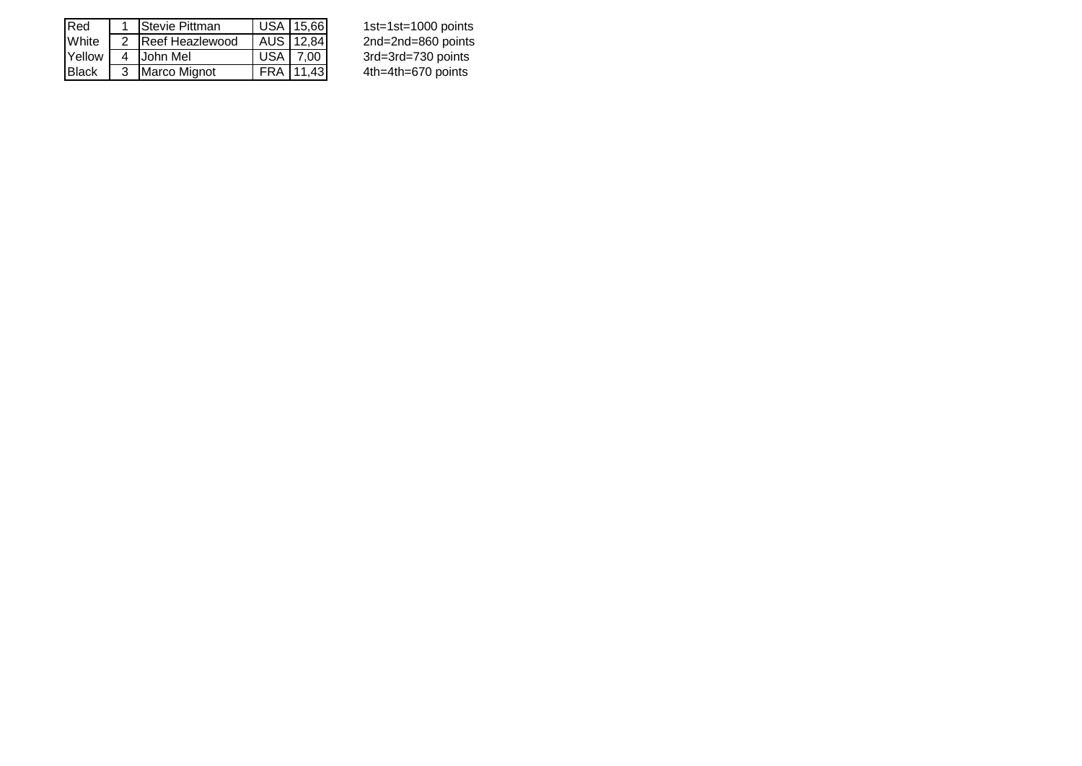| Red           | <b>Stevie Pittman</b> |            | USA 15,66 | 1st=1st=1000 points  |
|---------------|-----------------------|------------|-----------|----------------------|
| White         | 2 Reef Heazlewood     |            | AUS 12,84 | 2nd=2nd=860 points   |
| Yellow        | 4 John Mel            | USA   7.00 |           | 3rd=3rd=730 points   |
| <b>IBlack</b> | 3 Marco Mignot        |            | FRA 11,43 | $4th=4th=670$ points |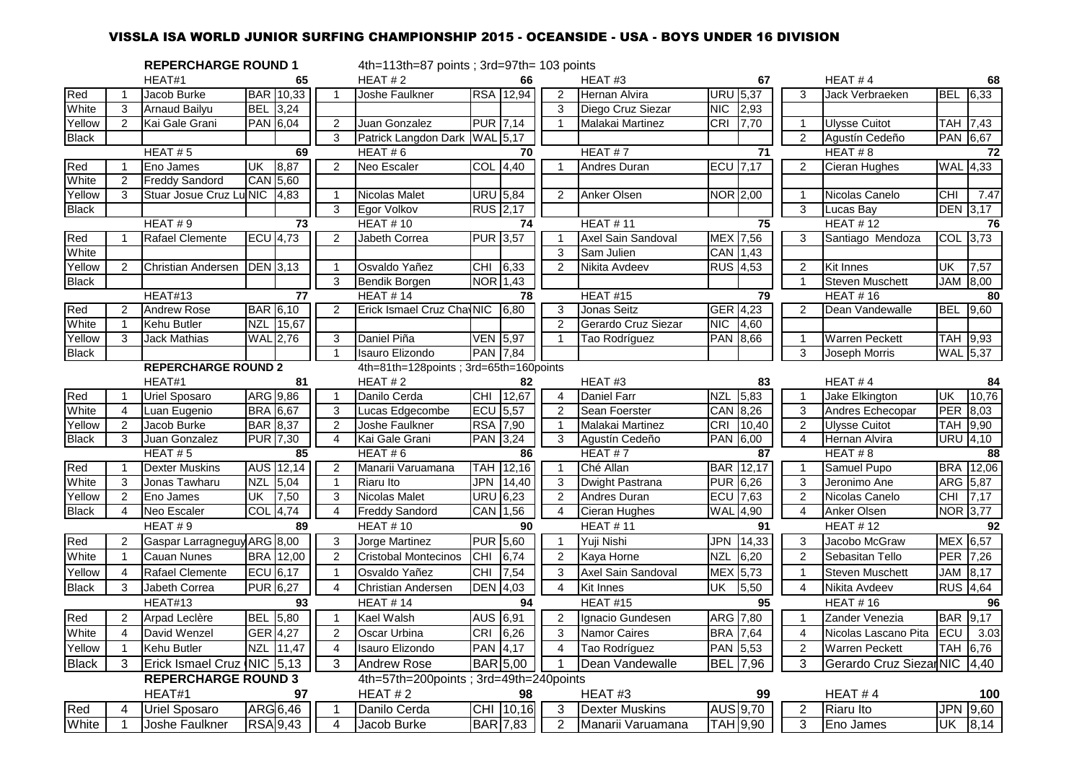# VISSLA ISA WORLD JUNIOR SURFING CHAMPIONSHIP 2015 - OCEANSIDE - USA - BOYS UNDER 16 DIVISION

|              |                | <b>REPERCHARGE ROUND 1</b>  |            |                  |                | 4th=113th=87 points ; 3rd=97th= 103 points |                 |                       |                |                       |                 |                  |                         |                         |                 |                 |
|--------------|----------------|-----------------------------|------------|------------------|----------------|--------------------------------------------|-----------------|-----------------------|----------------|-----------------------|-----------------|------------------|-------------------------|-------------------------|-----------------|-----------------|
|              |                | HEAT#1                      |            | 65               |                | HEAT#2                                     |                 | 66                    |                | HEAT#3                |                 | 67               |                         | HEAT#4                  |                 | 68              |
| Red          |                | Jacob Burke                 |            | <b>BAR</b> 10,33 | $\mathbf{1}$   | Joshe Faulkner                             |                 | RSA 12,94             | 2              | Hernan Alvira         | <b>URU</b> 5,37 |                  | 3                       | Jack Verbraeken         | <b>BEL</b>      | 6,33            |
| White        | 3              | <b>Arnaud Bailyu</b>        | <b>BEL</b> | 3,24             |                |                                            |                 |                       | 3              | Diego Cruz Siezar     | NIC.            | 2,93             |                         |                         |                 |                 |
| Yellow       | $\overline{2}$ | Kai Gale Grani              |            | PAN 6,04         | $\overline{2}$ | Juan Gonzalez                              |                 | <b>PUR 7,14</b>       | $\mathbf{1}$   | Malakai Martinez      | <b>CRI</b>      | 7,70             | $\overline{1}$          | <b>Ulysse Cuitot</b>    | <b>TAH 7,43</b> |                 |
| <b>Black</b> |                |                             |            |                  | 3              | Patrick Langdon Dark WAL 5,17              |                 |                       |                |                       |                 |                  | 2                       | Agustín Cedeño          |                 | PAN 6,67        |
|              |                | HEAT#5                      |            | 69               |                | HEAT#6                                     |                 | 70                    |                | HEAT#7                |                 | 71               |                         | HEAT $# 8$              |                 | 72              |
| Red          |                | Eno James                   | UK         | 8,87             | 2              | Neo Escaler                                |                 | $COL$ <sub>4,40</sub> | $\overline{1}$ | Andres Duran          |                 | <b>ECU</b> 7,17  | 2                       | Cieran Hughes           |                 | WAL 4,33        |
| White        | $\overline{2}$ | <b>Freddy Sandord</b>       |            | CAN 5,60         |                |                                            |                 |                       |                |                       |                 |                  |                         |                         |                 |                 |
| Yellow       | 3              | Stuar Josue Cruz Lu NIC     |            | 4,83             | -1             | <b>Nicolas Malet</b>                       |                 | <b>URU</b> 5,84       | 2              | <b>Anker Olsen</b>    | <b>NOR</b> 2,00 |                  | $\overline{\mathbf{1}}$ | Nicolas Canelo          | <b>CHI</b>      | 7.47            |
| <b>Black</b> |                |                             |            |                  | 3              | Egor Volkov                                |                 | RUS 2,17              |                |                       |                 |                  | 3                       | Lucas Bay               |                 | DEN 3,17        |
|              |                | HEAT#9                      |            | 73               |                | <b>HEAT #10</b>                            |                 | 74                    |                | <b>HEAT #11</b>       |                 | 75               |                         | <b>HEAT #12</b>         |                 | 76              |
| Red          |                | Rafael Clemente             |            | <b>ECU</b> 4,73  | 2              | Jabeth Correa                              | <b>PUR</b> 3,57 |                       | $\overline{1}$ | Axel Sain Sandoval    |                 | MEX 7,56         | 3                       | Santiago Mendoza        | COL 3,73        |                 |
| White        |                |                             |            |                  |                |                                            |                 |                       | 3              | Sam Julien            | <b>CAN</b>      | 1,43             |                         |                         |                 |                 |
| Yellow       | $\overline{2}$ | Christian Andersen          |            | <b>DEN</b> 3,13  | $\mathbf 1$    | Osvaldo Yañez                              | CHI 6,33        |                       | 2              | Nikita Avdeev         |                 | RUS 4,53         | 2                       | <b>Kit Innes</b>        | UK              | 7,57            |
| <b>Black</b> |                |                             |            |                  | 3              | Bendik Borgen                              |                 | NOR 1,43              |                |                       |                 |                  | $\overline{1}$          | <b>Steven Muschett</b>  | JAM             | 8,00            |
|              |                | HEAT#13                     |            | 77               |                | <b>HEAT #14</b>                            |                 | 78                    |                | <b>HEAT #15</b>       |                 | $\overline{79}$  |                         | <b>HEAT #16</b>         |                 | 80              |
| Red          | 2              | <b>Andrew Rose</b>          |            | <b>BAR</b> 6,10  | 2              | Erick Ismael Cruz ChayNIC 6,80             |                 |                       | 3              | Jonas Seitz           |                 | GER 4,23         | 2                       | Dean Vandewalle         | <b>BEL</b>      | 9,60            |
| White        | $\mathbf{1}$   | Kehu Butler                 | <b>NZL</b> | 15,67            |                |                                            |                 |                       | 2              | Gerardo Cruz Siezar   | <b>NIC</b>      | 4,60             |                         |                         |                 |                 |
| Yellow       | 3              | Jack Mathias                |            | <b>WAL</b> 2,76  | 3              | Daniel Piña                                |                 | <b>VEN 5,97</b>       | $\overline{1}$ | Tao Rodríguez         | PAN 8,66        |                  | $\overline{1}$          | <b>Warren Peckett</b>   | TAH 9,93        |                 |
| <b>Black</b> |                |                             |            |                  |                | Isauro Elizondo                            | <b>PAN 7,84</b> |                       |                |                       |                 |                  | 3                       | Joseph Morris           | WAL 5,37        |                 |
|              |                | <b>REPERCHARGE ROUND 2</b>  |            |                  |                | 4th=81th=128points; 3rd=65th=160points     |                 |                       |                |                       |                 |                  |                         |                         |                 |                 |
|              |                | HEAT#1                      |            | 81               |                | HEAT#2                                     |                 | 82                    |                | HEAT#3                |                 | 83               |                         | HEAT #4                 |                 | 84              |
| Red          | $\mathbf{1}$   | <b>Uriel Sposaro</b>        |            | ARG 9,86         | $\overline{1}$ | Danilo Cerda                               |                 | CHI 12,67             | $\overline{4}$ | <b>Daniel Farr</b>    | <b>NZL</b>      | 5,83             | $\overline{1}$          | Jake Elkington          | UK              | 10,76           |
| White        | $\overline{4}$ | Luan Eugenio                |            | <b>BRA</b> 6,67  | 3              | Lucas Edgecombe                            |                 | <b>ECU</b> 5,57       | 2              | Sean Foerster         |                 | CAN 8,26         | 3                       | Andres Echecopar        | PER 8,03        |                 |
| Yellow       | $\overline{2}$ | Jacob Burke                 |            | <b>BAR</b> 8,37  | 2              | Joshe Faulkner                             |                 | RSA 7,90              | $\mathbf{1}$   | Malakai Martinez      | CRI             | 10,40            | $\overline{2}$          | <b>Ulysse Cuitot</b>    | TAH 9,90        |                 |
| <b>Black</b> | 3              | Juan Gonzalez               |            | <b>PUR 7,30</b>  | 4              | Kai Gale Grani                             |                 | <b>PAN 3,24</b>       |                | Agustín Cedeño        |                 | PAN 6,00         | $\overline{4}$          | Hernan Alvira           |                 | <b>URU</b> 4,10 |
|              |                | HEAT#5                      |            | 85               |                | HEAT#6                                     |                 | 86                    |                | HEAT#7                |                 | 87               |                         | HEAT#8                  |                 | 88              |
| Red          | $\mathbf{1}$   | <b>Dexter Muskins</b>       |            | AUS 12,14        | 2              | Manarii Varuamana                          |                 | TAH 12,16             | $\overline{1}$ | Ché Allan             |                 | <b>BAR</b> 12,17 | $\overline{1}$          | Samuel Pupo             |                 | BRA 12,06       |
| White        | 3              | Jonas Tawharu               | <b>NZL</b> | 5,04             |                | Riaru Ito                                  |                 | JPN 14,40             | 3              | Dwight Pastrana       | <b>PUR 6,26</b> |                  | 3                       | Jeronimo Ane            | ARG 5,87        |                 |
| Yellow       | $\overline{2}$ | Eno James                   | UK         | 7,50             | 3              | Nicolas Malet                              |                 | <b>URU</b> 6,23       | 2              | Andres Duran          | <b>ECU</b> 7,63 |                  | $\overline{2}$          | Nicolas Canelo          | <b>CHI</b>      | 7,17            |
| <b>Black</b> | 4              | Neo Escaler                 |            | <b>COL</b> 4,74  | 4              | <b>Freddy Sandord</b>                      |                 | CAN 1,56              | $\overline{4}$ | Cieran Hughes         | <b>WAL</b> 4,90 |                  | 4                       | Anker Olsen             | <b>NOR 3,77</b> |                 |
|              |                | HEAT#9                      |            | 89               |                | <b>HEAT #10</b>                            |                 | 90                    |                | <b>HEAT #11</b>       |                 | 91               |                         | <b>HEAT #12</b>         |                 | 92              |
| Red          | $\overline{2}$ | Gaspar Larragneguy ARG 8,00 |            |                  | 3              | Jorge Martinez                             |                 | <b>PUR</b> 5,60       | $\mathbf 1$    | Yuji Nishi            |                 | JPN 14,33        | 3                       | Jacobo McGraw           | MEX 6,57        |                 |
| White        |                | Cauan Nunes                 |            | BRA 12,00        | 2              | <b>Cristobal Montecinos</b>                | <b>CHI</b>      | 6,74                  | 2              | Kaya Horne            | <b>NZL</b>      | 6,20             | 2                       | Sebasitan Tello         | PER 7,26        |                 |
| Yellow       | 4              | <b>Rafael Clemente</b>      |            | <b>ECU</b> 6,17  | $\overline{1}$ | Osvaldo Yañez                              | <b>CHI</b>      | 7,54                  | 3              | Axel Sain Sandoval    | MEX 5,73        |                  | $\overline{1}$          | <b>Steven Muschett</b>  | JAM             | 8,17            |
| <b>Black</b> | 3              | Jabeth Correa               |            | <b>PUR 6,27</b>  | 4              | Christian Andersen                         | DEN 4,03        |                       | 4              | Kit Innes             | UK              | 5,50             | $\overline{4}$          | Nikita Avdeev           | <b>RUS</b> 4,64 |                 |
|              |                | HEAT#13                     |            | 93               |                | <b>HEAT #14</b>                            |                 | 94                    |                | HEAT#15               |                 | 95               |                         | <b>HEAT #16</b>         |                 | 96              |
| Red          | $\overline{2}$ | Arpad Leclère               |            | BEL 5,80         |                | Kael Walsh                                 | AUS 6,91        |                       | 2              | Ignacio Gundesen      | ARG 7,80        |                  | $\overline{1}$          | Zander Venezia          | BAR 9,17        |                 |
| White        | $\overline{4}$ | David Wenzel                |            | GER 4,27         | 2              | Oscar Urbina                               |                 | CRI 6,26              | 3              | Namor Caires          |                 | <b>BRA</b> 7,64  | $\overline{4}$          | Nicolas Lascano Pita    | <b>ECU</b>      | 3.03            |
| Yellow       | $\mathbf{1}$   | Kehu Butler                 | <b>NZL</b> | 11,47            | 4              | Isauro Elizondo                            |                 | PAN 4,17              | $\overline{4}$ | Tao Rodríguez         | PAN 5,53        |                  | 2                       | <b>Warren Peckett</b>   | TAH 6,76        |                 |
| <b>Black</b> | 3              | Erick Ismael Cruz NIC 5,13  |            |                  | 3              | <b>Andrew Rose</b>                         |                 | <b>BAR</b> 5,00       | $\overline{1}$ | Dean Vandewalle       |                 | <b>BEL</b> 7,96  | 3                       | Gerardo Cruz Siezar NIC |                 | 4,40            |
|              |                | <b>REPERCHARGE ROUND 3</b>  |            |                  |                | 4th=57th=200points; 3rd=49th=240points     |                 |                       |                |                       |                 |                  |                         |                         |                 |                 |
|              |                | HEAT#1                      |            | 97               |                | HEAT#2                                     |                 | 98                    |                | HEAT#3                |                 | 99               |                         | HEAT#4                  |                 | 100             |
| Red          | 4              | <b>Uriel Sposaro</b>        |            | ARG 6,46         |                | Danilo Cerda                               |                 | CHI 10,16             | 3              | <b>Dexter Muskins</b> |                 | AUS 9,70         | $\overline{2}$          | Riaru Ito               |                 | JPN 9,60        |
| White        |                |                             |            |                  | $\overline{4}$ |                                            |                 |                       |                |                       |                 | TAH 9,90         |                         |                         |                 |                 |
|              | $\mathbf{1}$   | Joshe Faulkner              |            | <b>RSA</b> 9,43  |                | Jacob Burke                                |                 | <b>BAR</b> 7,83       | $\overline{2}$ | Manarii Varuamana     |                 |                  | 3                       | Eno James               |                 | UK 8,14         |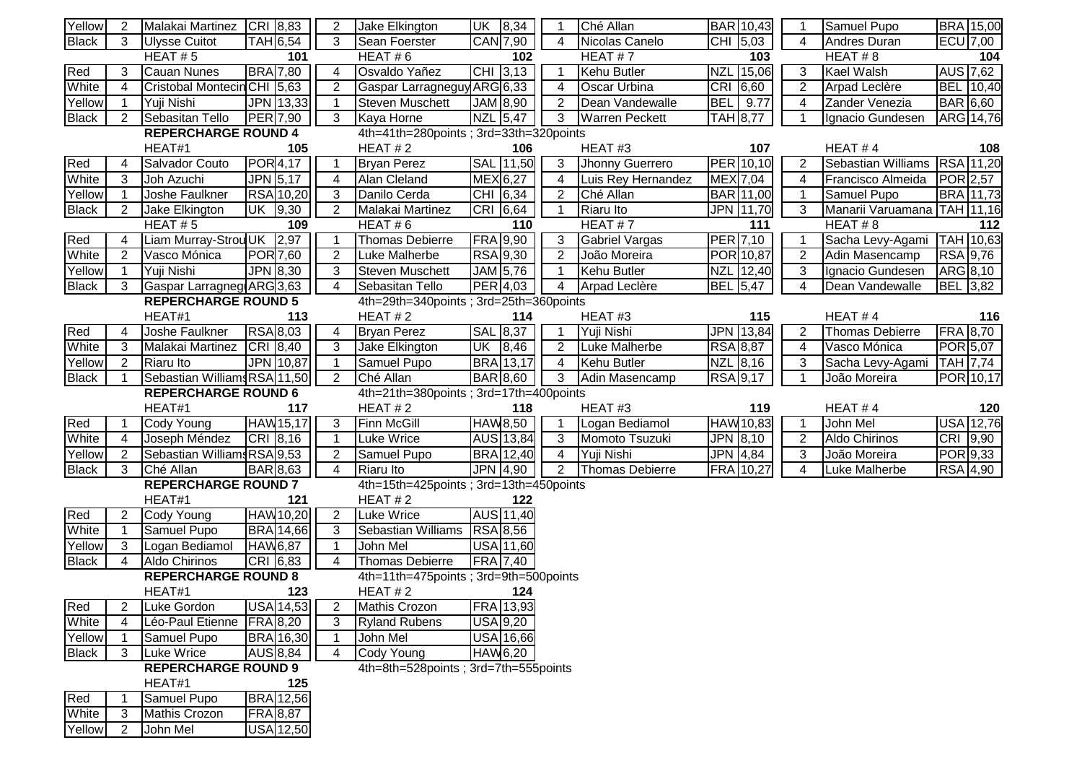| Yellow       | 2              | Malakai Martinez CRI 8,83    |                       | 2              | Jake Elkington                         | UK 8,34          |                  |                | Ché Allan              |            | BAR 10,43        |                | Samuel Pupo                 | BRA 15,00             |
|--------------|----------------|------------------------------|-----------------------|----------------|----------------------------------------|------------------|------------------|----------------|------------------------|------------|------------------|----------------|-----------------------------|-----------------------|
| <b>Black</b> | 3              | <b>Ulysse Cuitot</b>         | <b>TAH</b> 6,54       | 3              | Sean Foerster                          | CAN 7,90         |                  | 4              | Nicolas Canelo         |            | CHI 5,03         | 4              | Andres Duran                | ECU 7,00              |
|              |                | HEAT# $5$                    | 101                   |                | HEAT#6                                 |                  | 102              |                | HEAT#7                 |            | 103              |                | HEAT#8                      | 104                   |
| Red          | 3              | <b>Cauan Nunes</b>           | <b>BRA</b> 7,80       | 4              | Osvaldo Yañez                          | CHI 3,13         |                  | -1             | <b>Kehu Butler</b>     | <b>NZL</b> | 15,06            | 3              | <b>Kael Walsh</b>           | AUS 7,62              |
| White        | $\overline{4}$ | Cristobal Montecin CHI 5,63  |                       | 2              | Gaspar Larragneguy ARG 6,33            |                  |                  | 4              | <b>Oscar Urbina</b>    | <b>CRI</b> | 6,60             | $\overline{2}$ | Arpad Leclère               | BEL 10,40             |
| Yellow       |                | Yuji Nishi                   | JPN 13,33             | $\mathbf 1$    | <b>Steven Muschett</b>                 | JAM 8,90         |                  | 2              | Dean Vandewalle        | <b>BEL</b> | 9.77             | 4              | Zander Venezia              | <b>BAR</b> 6,60       |
| <b>Black</b> | $\overline{2}$ | Sebasitan Tello              | <b>PER</b> 7,90       | 3              | Kaya Horne                             | NZL 5,47         |                  | 3              | <b>Warren Peckett</b>  |            | <b>TAH 8,77</b>  |                | Ignacio Gundesen            | ARG 14,76             |
|              |                | <b>REPERCHARGE ROUND 4</b>   |                       |                | 4th=41th=280points; 3rd=33th=320points |                  |                  |                |                        |            |                  |                |                             |                       |
|              |                | HEAT#1                       | 105                   |                | HEAT#2                                 |                  | 106              |                | HEAT#3                 |            | 107              |                | HEAT#4                      | 108                   |
| Red          | 4              | Salvador Couto               | POR <sub>4,17</sub>   |                | <b>Bryan Perez</b>                     | SAL 11,50        |                  | 3              | Jhonny Guerrero        |            | PER 10,10        | $\overline{2}$ | Sebastian Williams          | RSA 11,20             |
| White        | 3              | Joh Azuchi                   | JPN 5,17              | 4              | <b>Alan Cleland</b>                    | MEX 6,27         |                  | 4              | Luis Rey Hernandez     |            | <b>MEX 7,04</b>  | 4              | Francisco Almeida           | $POR$ <sub>2,57</sub> |
| Yellow       |                | Joshe Faulkner               | <b>RSA</b> 10,20      | 3              | Danilo Cerda                           | CHI 6,34         |                  | 2              | Ché Allan              |            | <b>BAR</b> 11,00 | 1              | Samuel Pupo                 | BRA 11,73             |
| <b>Black</b> | $\overline{2}$ | Jake Elkington               | UK 9,30               | $\overline{2}$ | Malakai Martinez                       | <b>CRI</b>       | 6,64             | $\mathbf 1$    | Riaru Ito              |            | JPN 11,70        | 3              | Manarii Varuamana TAH 11,16 |                       |
|              |                | HEAT# $5$                    | 109                   |                | HEAT#6                                 |                  | 110              |                | HEAT#7                 |            | 111              |                | HEAT $#8$                   | 112                   |
| Red          | 4              | Liam Murray-Strou UK 2,97    |                       |                | <b>Thomas Debierre</b>                 | FRA 9,90         |                  | 3              | <b>Gabriel Vargas</b>  |            | PER 7,10         |                | Sacha Levy-Agami            | TAH 10,63             |
| White        | $\overline{2}$ | Vasco Mónica                 | <b>POR 7,60</b>       | 2              | Luke Malherbe                          | RSA 9,30         |                  | $\overline{2}$ | João Moreira           |            | POR 10,87        | $\overline{2}$ | Adin Masencamp              | RSA 9,76              |
| Yellow       |                | Yuji Nishi                   | JPN 8,30              | 3              | <b>Steven Muschett</b>                 | JAM 5,76         |                  |                | Kehu Butler            |            | NZL 12,40        | 3              | Ignacio Gundesen            | ARG 8,10              |
| <b>Black</b> | 3              | Gaspar Larragneg ARG 3,63    |                       | 4              | Sebasitan Tello                        | PER 4,03         |                  | 4              | Arpad Leclère          |            | <b>BEL</b> 5,47  | 4              | Dean Vandewalle             | BEL 3,82              |
|              |                | <b>REPERCHARGE ROUND 5</b>   |                       |                | 4th=29th=340points; 3rd=25th=360points |                  |                  |                |                        |            |                  |                |                             |                       |
|              |                | HEAT#1                       | 113                   |                | HEAT#2                                 |                  | 114              |                | HEAT#3                 |            | 115              |                | HEAT#4                      | 116                   |
| Red          | 4              | Joshe Faulkner               | $RSA$ <sub>8,03</sub> | 4              | <b>Bryan Perez</b>                     | SAL 8,37         |                  | -1             | Yuji Nishi             |            | JPN 13,84        | $\overline{2}$ | <b>Thomas Debierre</b>      | <b>FRA 8,70</b>       |
| White        | 3              | Malakai Martinez             | CRI 8,40              | 3              | Jake Elkington                         | UK               | 8,46             | 2              | Luke Malherbe          |            | <b>RSA 8,87</b>  | 4              | Vasco Mónica                | POR 5,07              |
| Yellow       | $\overline{2}$ | Riaru Ito                    | JPN 10,87             | $\mathbf 1$    | Samuel Pupo                            | <b>BRA</b> 13,17 |                  | 4              | Kehu Butler            | <b>NZL</b> | 8,16             | 3              | Sacha Levy-Agami            | TAH 7,74              |
| <b>Black</b> |                | Sebastian Williams RSA 11,50 |                       | 2              | Ché Allan                              | <b>BAR</b> 8,60  |                  | 3              | Adin Masencamp         |            | <b>RSA</b> 9,17  |                | João Moreira                | POR 10,17             |
|              |                | <b>REPERCHARGE ROUND 6</b>   |                       |                | 4th=21th=380points; 3rd=17th=400points |                  |                  |                |                        |            |                  |                |                             |                       |
|              |                | HEAT#1                       | 117                   |                | HEAT#2                                 |                  | 118              |                | HEAT#3                 |            | 119              |                | HEAT#4                      | 120                   |
| Red          |                | Cody Young                   | HAW 15,17             | 3              | Finn McGill                            | <b>HAW8,50</b>   |                  |                | Logan Bediamol         |            | HAW 10,83        |                | John Mel                    | <b>USA 12,76</b>      |
| White        |                | Joseph Méndez                | CRI 8,16              |                | Luke Wrice                             | AUS 13,84        |                  | 3              | Momoto Tsuzuki         |            | JPN 8,10         | $\overline{2}$ | Aldo Chirinos               | CRI 9,90              |
| Yellow       | $\overline{2}$ | Sebastian Williams RSA 9,53  |                       | 2              | Samuel Pupo                            | <b>BRA</b> 12,40 |                  | 4              | Yuji Nishi             |            | JPN 4,84         | 3              | João Moreira                | POR 9,33              |
| <b>Black</b> | 3              | Ché Allan                    | <b>BAR</b> 8,63       | 4              | Riaru Ito                              | JPN 4,90         |                  | 2              | <b>Thomas Debierre</b> |            | FRA 10,27        | 4              | Luke Malherbe               | <b>RSA</b> 4,90       |
|              |                | <b>REPERCHARGE ROUND 7</b>   |                       |                | 4th=15th=425points; 3rd=13th=450points |                  |                  |                |                        |            |                  |                |                             |                       |
|              |                | HEAT#1                       | 121                   |                | HEAT#2                                 |                  | 122              |                |                        |            |                  |                |                             |                       |
| Red          | 2              | Cody Young                   | <b>HAW10,20</b>       | 2              | Luke Wrice                             | AUS 11,40        |                  |                |                        |            |                  |                |                             |                       |
| White        |                | Samuel Pupo                  | <b>BRA</b> 14,66      | 3              | Sebastian Williams                     | <b>RSA 8,56</b>  |                  |                |                        |            |                  |                |                             |                       |
| Yellow       | $\mathbf{3}$   | Logan Bediamol               | <b>HAW6,87</b>        | 1              | John Mel                               | USA 11,60        |                  |                |                        |            |                  |                |                             |                       |
| <b>Black</b> | 4              | Aldo Chirinos                | CRI 6,83              | 4              | Thomas Debierre                        | <b>FRA 7,40</b>  |                  |                |                        |            |                  |                |                             |                       |
|              |                | <b>REPERCHARGE ROUND 8</b>   |                       |                | 4th=11th=475points; 3rd=9th=500points  |                  |                  |                |                        |            |                  |                |                             |                       |
|              |                | HEAT#1                       | 123                   |                | HEAT $# 2$                             |                  | 124              |                |                        |            |                  |                |                             |                       |
| Red          |                | Luke Gordon                  | <b>USA</b> 14,53      | 2              | Mathis Crozon                          | FRA 13,93        |                  |                |                        |            |                  |                |                             |                       |
| White        | 4              | Léo-Paul Etienne             | <b>FRA</b> 8,20       | 3              | <b>Ryland Rubens</b>                   | USA 9,20         |                  |                |                        |            |                  |                |                             |                       |
| Yellow       |                | Samuel Pupo                  | <b>BRA</b> 16,30      |                | John Mel                               |                  | <b>USA</b> 16,66 |                |                        |            |                  |                |                             |                       |
| <b>Black</b> | 3              | Luke Wrice                   | AUS 8,84              | 4              | Cody Young                             | HAW 6,20         |                  |                |                        |            |                  |                |                             |                       |
|              |                | <b>REPERCHARGE ROUND 9</b>   |                       |                | 4th=8th=528points; 3rd=7th=555points   |                  |                  |                |                        |            |                  |                |                             |                       |
|              |                | HEAT#1                       | 125                   |                |                                        |                  |                  |                |                        |            |                  |                |                             |                       |
| Red          |                | Samuel Pupo                  | <b>BRA</b> 12,56      |                |                                        |                  |                  |                |                        |            |                  |                |                             |                       |
| White        | 3              | Mathis Crozon                | <b>FRA 8,87</b>       |                |                                        |                  |                  |                |                        |            |                  |                |                             |                       |
| Yellow       | 2              | John Mel                     | <b>USA 12,50</b>      |                |                                        |                  |                  |                |                        |            |                  |                |                             |                       |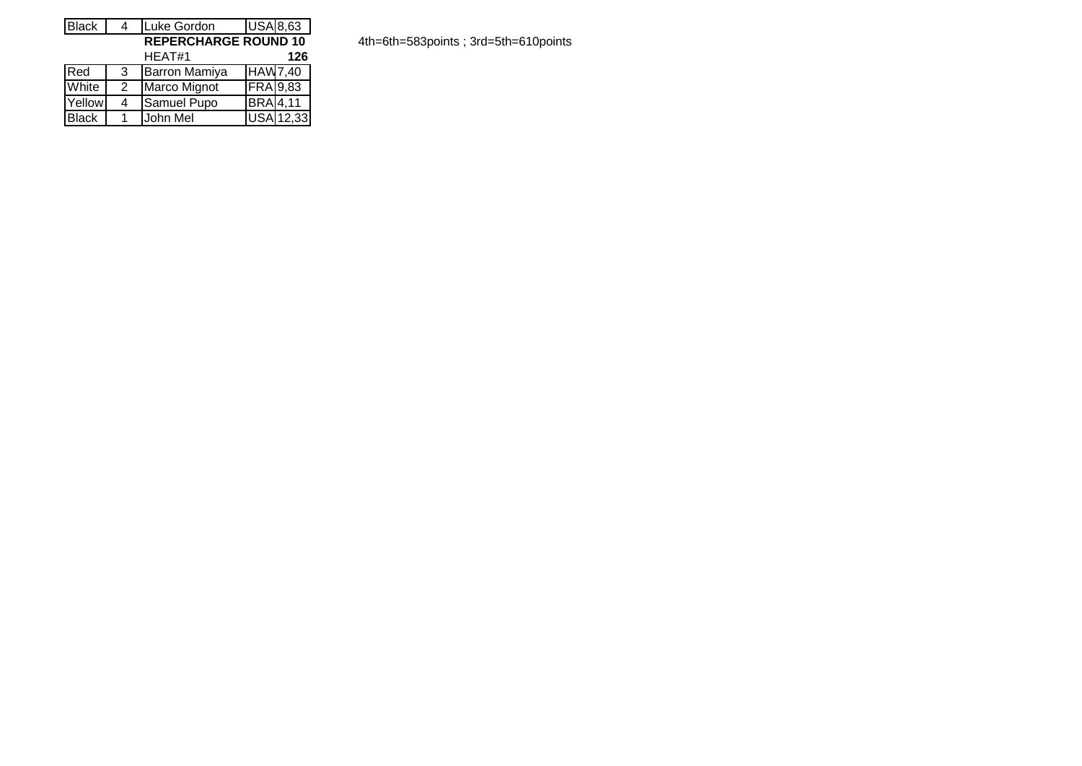| <b>Black</b>                | 4 | Luke Gordon          |                 | <b>USA 8,63</b> |  |  |  |  |  |  |  |
|-----------------------------|---|----------------------|-----------------|-----------------|--|--|--|--|--|--|--|
| <b>REPERCHARGE ROUND 10</b> |   |                      |                 |                 |  |  |  |  |  |  |  |
|                             |   | HEAT#1               |                 | 126             |  |  |  |  |  |  |  |
| Red                         | 3 | <b>Barron Mamiya</b> | <b>HAW7,40</b>  |                 |  |  |  |  |  |  |  |
| White                       | 2 | Marco Mignot         | <b>FRA</b> 9,83 |                 |  |  |  |  |  |  |  |
| Yellow                      | 4 | Samuel Pupo          | <b>BRA</b> 4,11 |                 |  |  |  |  |  |  |  |
| <b>Black</b>                |   | John Mel             |                 | USA 12,33       |  |  |  |  |  |  |  |

**REPERCHARGE ROUND 10** 4th=6th=583points ; 3rd=5th=610points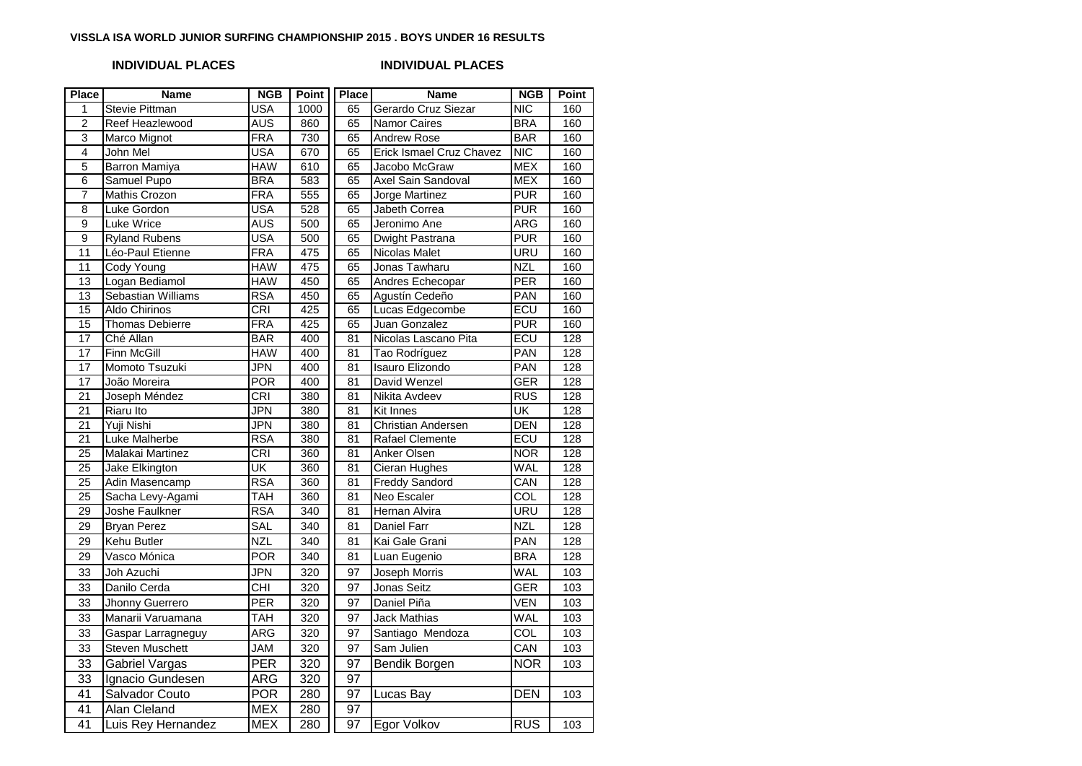### **VISSLA ISA WORLD JUNIOR SURFING CHAMPIONSHIP 2015 . BOYS UNDER 16 RESULTS**

## **INDIVIDUAL PLACES INDIVIDUAL PLACES**

| <b>Place</b>    | <b>Name</b>               | <b>NGB</b> | <b>Point</b>     | <b>Place</b>    | <b>Name</b>                     | <b>NGB</b>              | Point |
|-----------------|---------------------------|------------|------------------|-----------------|---------------------------------|-------------------------|-------|
| 1               | <b>Stevie Pittman</b>     | <b>USA</b> | 1000             | 65              | Gerardo Cruz Siezar             | NIC                     | 160   |
| $\overline{2}$  | Reef Heazlewood           | <b>AUS</b> | 860              | 65              | <b>Namor Caires</b>             | <b>BRA</b>              | 160   |
| 3               | Marco Mignot              | <b>FRA</b> | 730              | 65              | <b>Andrew Rose</b>              | <b>BAR</b>              | 160   |
| $\overline{4}$  | John Mel                  | <b>USA</b> | 670              | 65              | <b>Erick Ismael Cruz Chavez</b> | $\overline{\text{NIC}}$ | 160   |
| $\overline{5}$  | <b>Barron Mamiya</b>      | <b>HAW</b> | 610              | 65              | Jacobo McGraw                   | <b>MEX</b>              | 160   |
| 6               | Samuel Pupo               | <b>BRA</b> | 583              | 65              | Axel Sain Sandoval              | <b>MEX</b>              | 160   |
| 7               | <b>Mathis Crozon</b>      | <b>FRA</b> | 555              | 65              | Jorge Martinez                  | <b>PUR</b>              | 160   |
| $\overline{8}$  | Luke Gordon               | <b>USA</b> | 528              | 65              | Jabeth Correa                   | <b>PUR</b>              | 160   |
| $\overline{9}$  | Luke Wrice                | <b>AUS</b> | 500              | 65              | Jeronimo Ane                    | ARG                     | 160   |
| $\overline{9}$  | <b>Ryland Rubens</b>      | <b>USA</b> | 500              | 65              | Dwight Pastrana                 | <b>PUR</b>              | 160   |
| 11              | Léo-Paul Etienne          | <b>FRA</b> | 475              | 65              | <b>Nicolas Malet</b>            | URU                     | 160   |
| 11              | <b>Cody Young</b>         | <b>HAW</b> | 475              | 65              | Jonas Tawharu                   | <b>NZL</b>              | 160   |
| 13              | Logan Bediamol            | <b>HAW</b> | 450              | 65              | Andres Echecopar                | <b>PER</b>              | 160   |
| 13              | <b>Sebastian Williams</b> | <b>RSA</b> | 450              | 65              | Agustín Cedeño                  | PAN                     | 160   |
| 15              | <b>Aldo Chirinos</b>      | <b>CRI</b> | 425              | 65              | Lucas Edgecombe                 | ECU                     | 160   |
| 15              | <b>Thomas Debierre</b>    | FRA        | 425              | 65              | Juan Gonzalez                   | <b>PUR</b>              | 160   |
| $\overline{17}$ | Ché Allan                 | <b>BAR</b> | 400              | $\overline{81}$ | Nicolas Lascano Pita            | ECU                     | 128   |
| $\overline{17}$ | <b>Finn McGill</b>        | <b>HAW</b> | 400              | 81              | Tao Rodríguez                   | <b>PAN</b>              | 128   |
| 17              | Momoto Tsuzuki            | JPN        | 400              | 81              | Isauro Elizondo                 | PAN                     | 128   |
| 17              | João Moreira              | <b>POR</b> | 400              | 81              | David Wenzel                    | GER                     | 128   |
| $\overline{21}$ | Joseph Méndez             | <b>CRI</b> | 380              | 81              | <b>Nikita Avdeev</b>            | <b>RUS</b>              | 128   |
| 21              | Riaru Ito                 | JPN        | 380              | 81              | Kit Innes                       | UK                      | 128   |
| 21              | Yuji Nishi                | JPN        | 380              | 81              | Christian Andersen              | DEN                     | 128   |
| $\overline{21}$ | <b>Luke Malherbe</b>      | <b>RSA</b> | 380              | 81              | Rafael Clemente                 | ECU                     | 128   |
| $\overline{25}$ | Malakai Martinez          | <b>CRI</b> | 360              | 81              | Anker Olsen                     | <b>NOR</b>              | 128   |
| $\overline{25}$ | Jake Elkington            | UK         | 360              | 81              | Cieran Hughes                   | WAL                     | 128   |
| 25              | Adin Masencamp            | <b>RSA</b> | 360              | 81              | <b>Freddy Sandord</b>           | CAN                     | 128   |
| $\overline{25}$ | Sacha Levy-Agami          | <b>TAH</b> | 360              | $\overline{81}$ | Neo Escaler                     | $\overline{\text{COL}}$ | 128   |
| $\overline{29}$ | <b>Joshe Faulkner</b>     | <b>RSA</b> | 340              | 81              | Hernan Alvira                   | <b>URU</b>              | 128   |
| 29              | <b>Bryan Perez</b>        | SAL        | 340              | 81              | <b>Daniel Farr</b>              | <b>NZL</b>              | 128   |
| $\overline{29}$ | Kehu Butler               | <b>NZL</b> | $\overline{340}$ | $\overline{81}$ | Kai Gale Grani                  | PAN                     | 128   |
| $\overline{29}$ | Vasco Mónica              | <b>POR</b> | 340              | 81              | Luan Eugenio                    | <b>BRA</b>              | 128   |
| 33              | Joh Azuchi                | JPN        | 320              | 97              | Joseph Morris                   | <b>WAL</b>              | 103   |
| 33              | Danilo Cerda              | <b>CHI</b> | 320              | 97              | <b>Jonas Seitz</b>              | <b>GER</b>              | 103   |
| 33              | Jhonny Guerrero           | PER        | 320              | 97              | Daniel Piña                     | <b>VEN</b>              | 103   |
| 33              | Manarii Varuamana         | <b>TAH</b> | 320              | 97              | Jack Mathias                    | WAL                     | 103   |
| 33              | Gaspar Larragneguy        | ARG        | 320              | 97              | Santiago Mendoza                | COL                     | 103   |
| 33              | <b>Steven Muschett</b>    | <b>JAM</b> | 320              | 97              | Sam Julien                      | CAN                     | 103   |
| $\overline{33}$ | <b>Gabriel Vargas</b>     | PER        | 320              | 97              | Bendik Borgen                   | <b>NOR</b>              | 103   |
| $\overline{33}$ | Ignacio Gundesen          | <b>ARG</b> | $\overline{320}$ | $\overline{97}$ |                                 |                         |       |
| $\overline{41}$ | Salvador Couto            | <b>POR</b> | 280              | $\overline{97}$ | Lucas Bay                       | <b>DEN</b>              | 103   |
| $\overline{41}$ | Alan Cleland              | <b>MEX</b> | 280              | 97              |                                 |                         |       |
|                 |                           |            |                  |                 |                                 |                         |       |
| 41              | Luis Rey Hernandez        | <b>MEX</b> | 280              | $\overline{97}$ | Egor Volkov                     | $\overline{RUS}$        | 103   |